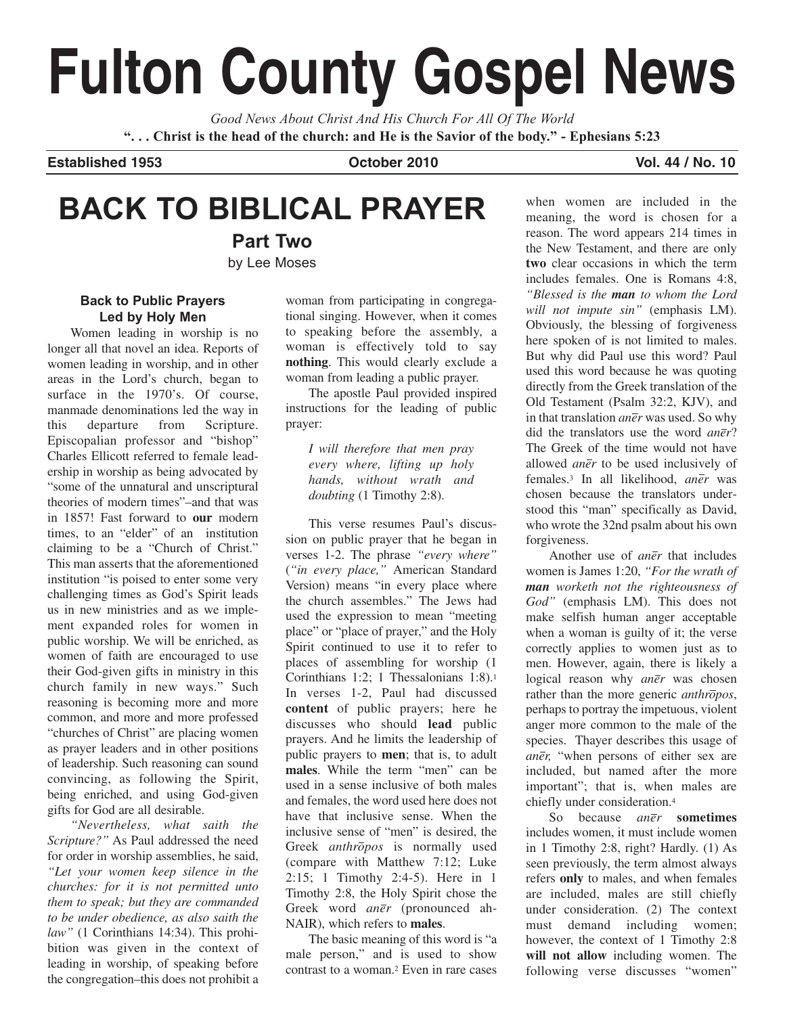# **Fulton County Gospel News**

*Good News About Christ And His Church For All Of The World* **". . . Christ is the head of the church: and He is the Savior of the body." - Ephesians 5:23**

**Established 1953 October 2010 Vol. 44 / No. 10**

## **BACK TO BIBLICAL PRAYER**

**Part Two** by Lee Moses

#### **Back to Public Prayers Led by Holy Men**

Women leading in worship is no longer all that novel an idea. Reports of women leading in worship, and in other areas in the Lord's church, began to surface in the 1970's. Of course, manmade denominations led the way in this departure from Scripture. Episcopalian professor and "bishop" Charles Ellicott referred to female leadership in worship as being advocated by "some of the unnatural and unscriptural theories of modern times"–and that was in 1857! Fast forward to **our** modern times, to an "elder" of an institution claiming to be a "Church of Christ." This man asserts that the aforementioned institution "is poised to enter some very challenging times as God's Spirit leads us in new ministries and as we implement expanded roles for women in public worship. We will be enriched, as women of faith are encouraged to use their God-given gifts in ministry in this church family in new ways." Such reasoning is becoming more and more common, and more and more professed "churches of Christ" are placing women as prayer leaders and in other positions of leadership. Such reasoning can sound convincing, as following the Spirit, being enriched, and using God-given gifts for God are all desirable.

*"Nevertheless, what saith the Scripture?"* As Paul addressed the need for order in worship assemblies, he said, *"Let your women keep silence in the churches: for it is not permitted unto them to speak; but they are commanded to be under obedience, as also saith the law"* (1 Corinthians 14:34). This prohibition was given in the context of leading in worship, of speaking before the congregation–this does not prohibit a woman from participating in congregational singing. However, when it comes to speaking before the assembly, a woman is effectively told to say **nothing**. This would clearly exclude a woman from leading a public prayer.

The apostle Paul provided inspired instructions for the leading of public prayer:

> *I will therefore that men pray every where, lifting up holy hands, without wrath and doubting* (1 Timothy 2:8).

This verse resumes Paul's discussion on public prayer that he began in verses 1-2. The phrase *"every where"* (*"in every place,"* American Standard Version) means "in every place where the church assembles." The Jews had used the expression to mean "meeting place" or "place of prayer," and the Holy Spirit continued to use it to refer to places of assembling for worship (1 Corinthians 1:2; 1 Thessalonians 1:8).1 In verses 1-2, Paul had discussed **content** of public prayers; here he discusses who should **lead** public prayers. And he limits the leadership of public prayers to **men**; that is, to adult **males**. While the term "men" can be used in a sense inclusive of both males and females, the word used here does not have that inclusive sense. When the inclusive sense of "men" is desired, the Greek *anthropos* is normally used (compare with Matthew 7:12; Luke 2:15; 1 Timothy 2:4-5). Here in 1 Timothy 2:8, the Holy Spirit chose the Greek word *aner* (pronounced ah-NAIR), which refers to **males**.

The basic meaning of this word is "a male person," and is used to show contrast to a woman.2 Even in rare cases

when women are included in the meaning, the word is chosen for a reason. The word appears 214 times in the New Testament, and there are only **two** clear occasions in which the term includes females. One is Romans 4:8, *"Blessed is the man to whom the Lord will not impute sin"* (emphasis LM). Obviously, the blessing of forgiveness here spoken of is not limited to males. But why did Paul use this word? Paul used this word because he was quoting directly from the Greek translation of the Old Testament (Psalm 32:2, KJV), and in that translation *aner* was used. So why did the translators use the word *aner*? The Greek of the time would not have allowed *aner* to be used inclusively of females.3 In all likelihood, *aner* was chosen because the translators understood this "man" specifically as David, who wrote the 32nd psalm about his own forgiveness.

Another use of *aner* that includes women is James 1:20, *"For the wrath of man worketh not the righteousness of God"* (emphasis LM). This does not make selfish human anger acceptable when a woman is guilty of it; the verse correctly applies to women just as to men. However, again, there is likely a logical reason why *aner* was chosen rather than the more generic *anthropos*, perhaps to portray the impetuous, violent anger more common to the male of the species. Thayer describes this usage of *aner,* "when persons of either sex are included, but named after the more important"; that is, when males are chiefly under consideration.4

So because *aner* **sometimes** includes women, it must include women in 1 Timothy 2:8, right? Hardly. (1) As seen previously, the term almost always refers **only** to males, and when females are included, males are still chiefly under consideration. (2) The context must demand including women; however, the context of 1 Timothy 2:8 **will not allow** including women. The following verse discusses "women"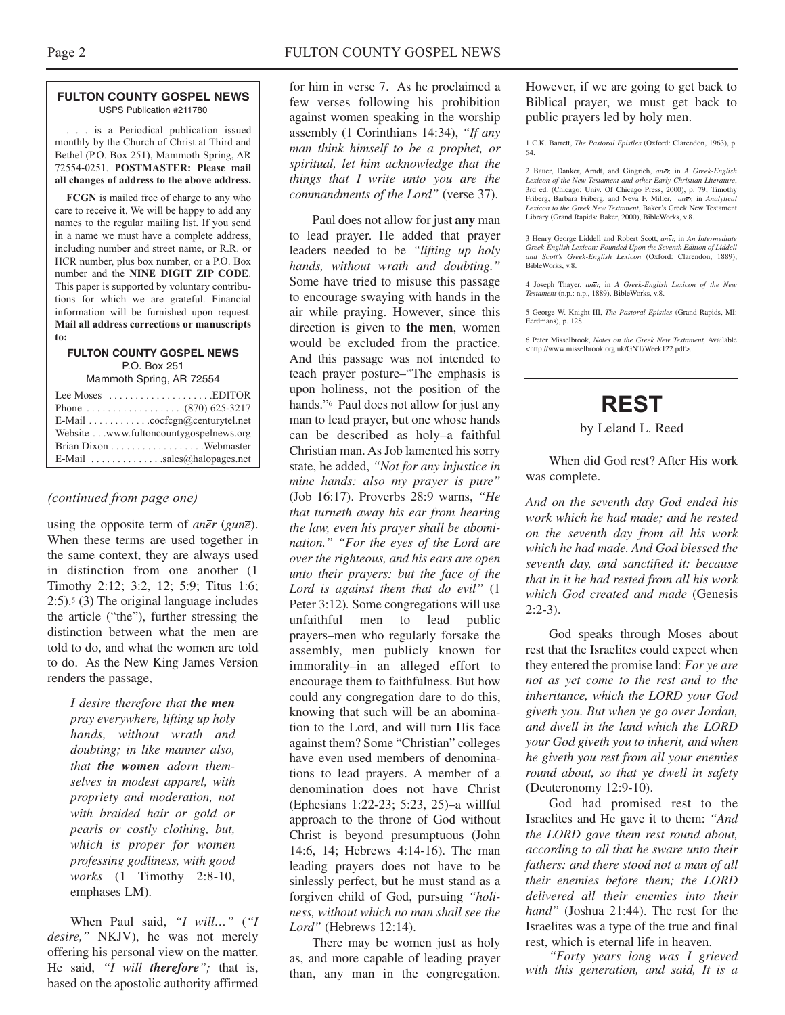#### **FULTON COUNTY GOSPEL NEWS** USPS Publication #211780

. . . is a Periodical publication issued monthly by the Church of Christ at Third and Bethel (P.O. Box 251), Mammoth Spring, AR 72554-0251. **POSTMASTER: Please mail all changes of address to the above address.**

**FCGN** is mailed free of charge to any who care to receive it. We will be happy to add any names to the regular mailing list. If you send in a name we must have a complete address, including number and street name, or R.R. or HCR number, plus box number, or a P.O. Box number and the **NINE DIGIT ZIP CODE**. This paper is supported by voluntary contributions for which we are grateful. Financial information will be furnished upon request. **Mail all address corrections or manuscripts to:**

#### **FULTON COUNTY GOSPEL NEWS** P.O. Box 251

Mammoth Spring, AR 72554

| Lee Moses $\dots \dots \dots \dots \dots$ . EDITOR          |
|-------------------------------------------------------------|
|                                                             |
| E-Mail $\ldots \ldots \ldots \ldots$ cocfcgn@centurytel.net |
| Website www.fultoncountygospelnews.org                      |
|                                                             |
| E-Mail $\ldots$ sales@halopages.net                         |

#### *(continued from page one)*

using the opposite term of *aner* (*gune*). When these terms are used together in the same context, they are always used in distinction from one another (1 Timothy 2:12; 3:2, 12; 5:9; Titus 1:6;  $2:5$ ).<sup>5</sup> (3) The original language includes the article ("the"), further stressing the distinction between what the men are told to do, and what the women are told to do. As the New King James Version renders the passage,

> *I desire therefore that the men pray everywhere, lifting up holy hands, without wrath and doubting; in like manner also, that the women adorn themselves in modest apparel, with propriety and moderation, not with braided hair or gold or pearls or costly clothing, but, which is proper for women professing godliness, with good works* (1 Timothy 2:8-10, emphases LM).

When Paul said, *"I will…"* (*"I desire,"* NKJV), he was not merely offering his personal view on the matter. He said, *"I will therefore";* that is, based on the apostolic authority affirmed

for him in verse 7. As he proclaimed a few verses following his prohibition against women speaking in the worship assembly (1 Corinthians 14:34), *"If any man think himself to be a prophet, or spiritual, let him acknowledge that the things that I write unto you are the commandments of the Lord"* (verse 37).

Paul does not allow for just **any** man to lead prayer. He added that prayer leaders needed to be *"lifting up holy hands, without wrath and doubting."* Some have tried to misuse this passage to encourage swaying with hands in the air while praying. However, since this direction is given to **the men**, women would be excluded from the practice. And this passage was not intended to teach prayer posture–"The emphasis is upon holiness, not the position of the hands."<sup>6</sup> Paul does not allow for just any man to lead prayer, but one whose hands can be described as holy–a faithful Christian man. As Job lamented his sorry state, he added, *"Not for any injustice in mine hands: also my prayer is pure"* (Job 16:17). Proverbs 28:9 warns, *"He that turneth away his ear from hearing the law, even his prayer shall be abomination." "For the eyes of the Lord are over the righteous, and his ears are open unto their prayers: but the face of the Lord is against them that do evil"* (1 Peter 3:12)*.* Some congregations will use unfaithful men to lead public prayers–men who regularly forsake the assembly, men publicly known for immorality–in an alleged effort to encourage them to faithfulness. But how could any congregation dare to do this, knowing that such will be an abomination to the Lord, and will turn His face against them? Some "Christian" colleges have even used members of denominations to lead prayers. A member of a denomination does not have Christ (Ephesians 1:22-23; 5:23, 25)–a willful approach to the throne of God without Christ is beyond presumptuous (John 14:6, 14; Hebrews 4:14-16). The man leading prayers does not have to be sinlessly perfect, but he must stand as a forgiven child of God, pursuing *"holiness, without which no man shall see the Lord"* (Hebrews 12:14).

There may be women just as holy as, and more capable of leading prayer than, any man in the congregation. However, if we are going to get back to Biblical prayer, we must get back to public prayers led by holy men.

1 C.K. Barrett, *The Pastoral Epistles* (Oxford: Clarendon, 1963), p. 54.

2 Bauer, Danker, Arndt, and Gingrich, *aner,* in *A Greek-English Lexicon of the New Testament and other Early Christian Literature*, 3rd ed. (Chicago: Univ. Of Chicago Press, 2000), p. 79; Timothy Friberg, Barbara Friberg, and Neva F. Miller, *aner,* in *Analytical Lexicon to the Greek New Testament*, Baker's Greek New Testament Library (Grand Rapids: Baker, 2000), BibleWorks, v.8.

3 Henry George Liddell and Robert Scott, *aner,* in *An Intermediate Greek-English Lexicon: Founded Upon the Seventh Edition of Liddell and Scott's Greek-English Lexicon* (Oxford: Clarendon, 1889), BibleWorks, v.8.

4 Joseph Thayer, *aner,* in *A Greek-English Lexicon of the New Testament* (n.p.: n.p., 1889), BibleWorks, v.8.

5 George W. Knight III, *The Pastoral Epistles* (Grand Rapids, MI: Eerdmans), p. 128.

6 Peter Misselbrook, *Notes on the Greek New Testament,* Available <http://www.misselbrook.org.uk/GNT/Week122.pdf>.

## **REST**

#### by Leland L. Reed

When did God rest? After His work was complete.

*And on the seventh day God ended his work which he had made; and he rested on the seventh day from all his work which he had made. And God blessed the seventh day, and sanctified it: because that in it he had rested from all his work which God created and made* (Genesis  $2:2-3$ ).

God speaks through Moses about rest that the Israelites could expect when they entered the promise land: *For ye are not as yet come to the rest and to the inheritance, which the LORD your God giveth you. But when ye go over Jordan, and dwell in the land which the LORD your God giveth you to inherit, and when he giveth you rest from all your enemies round about, so that ye dwell in safety* (Deuteronomy 12:9-10).

God had promised rest to the Israelites and He gave it to them: *"And the LORD gave them rest round about, according to all that he sware unto their fathers: and there stood not a man of all their enemies before them; the LORD delivered all their enemies into their hand"* (Joshua 21:44). The rest for the Israelites was a type of the true and final rest, which is eternal life in heaven.

*"Forty years long was I grieved with this generation, and said, It is a*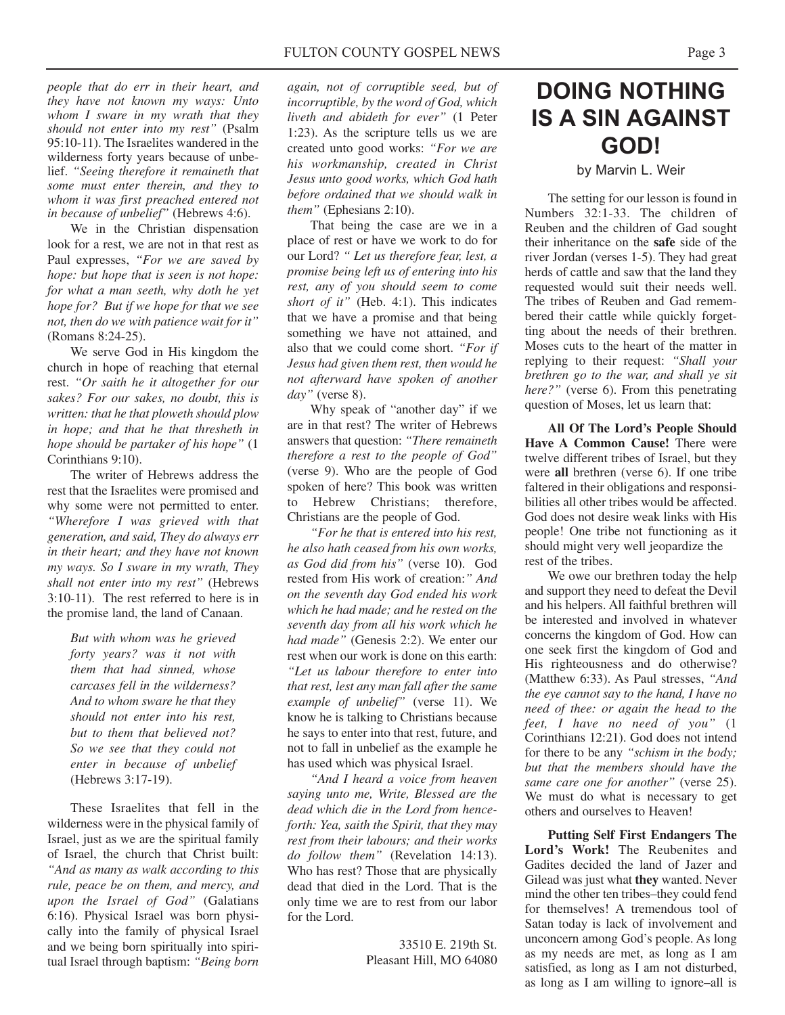*people that do err in their heart, and they have not known my ways: Unto whom I sware in my wrath that they should not enter into my rest"* (Psalm 95:10-11). The Israelites wandered in the wilderness forty years because of unbelief. *"Seeing therefore it remaineth that some must enter therein, and they to whom it was first preached entered not in because of unbelief"* (Hebrews 4:6).

We in the Christian dispensation look for a rest, we are not in that rest as Paul expresses, *"For we are saved by hope: but hope that is seen is not hope: for what a man seeth, why doth he yet hope for? But if we hope for that we see not, then do we with patience wait for it"* (Romans 8:24-25).

We serve God in His kingdom the church in hope of reaching that eternal rest. *"Or saith he it altogether for our sakes? For our sakes, no doubt, this is written: that he that ploweth should plow in hope; and that he that thresheth in hope should be partaker of his hope"* (1 Corinthians 9:10).

The writer of Hebrews address the rest that the Israelites were promised and why some were not permitted to enter. *"Wherefore I was grieved with that generation, and said, They do always err in their heart; and they have not known my ways. So I sware in my wrath, They shall not enter into my rest"* (Hebrews 3:10-11). The rest referred to here is in the promise land, the land of Canaan.

*But with whom was he grieved forty years? was it not with them that had sinned, whose carcases fell in the wilderness? And to whom sware he that they should not enter into his rest, but to them that believed not? So we see that they could not enter in because of unbelief* (Hebrews 3:17-19).

These Israelites that fell in the wilderness were in the physical family of Israel, just as we are the spiritual family of Israel, the church that Christ built: *"And as many as walk according to this rule, peace be on them, and mercy, and upon the Israel of God"* (Galatians 6:16). Physical Israel was born physically into the family of physical Israel and we being born spiritually into spiritual Israel through baptism: *"Being born*

*again, not of corruptible seed, but of incorruptible, by the word of God, which liveth and abideth for ever"* (1 Peter 1:23). As the scripture tells us we are created unto good works: *"For we are his workmanship, created in Christ Jesus unto good works, which God hath before ordained that we should walk in them"* (Ephesians 2:10).

That being the case are we in a place of rest or have we work to do for our Lord? *" Let us therefore fear, lest, a promise being left us of entering into his rest, any of you should seem to come short of it"* (Heb. 4:1). This indicates that we have a promise and that being something we have not attained, and also that we could come short. *"For if Jesus had given them rest, then would he not afterward have spoken of another day"* (verse 8).

Why speak of "another day" if we are in that rest? The writer of Hebrews answers that question: *"There remaineth therefore a rest to the people of God"* (verse 9). Who are the people of God spoken of here? This book was written to Hebrew Christians; therefore, Christians are the people of God.

*"For he that is entered into his rest, he also hath ceased from his own works, as God did from his"* (verse 10). God rested from His work of creation:*" And on the seventh day God ended his work which he had made; and he rested on the seventh day from all his work which he had made"* (Genesis 2:2). We enter our rest when our work is done on this earth: *"Let us labour therefore to enter into that rest, lest any man fall after the same example of unbelief"* (verse 11). We know he is talking to Christians because he says to enter into that rest, future, and not to fall in unbelief as the example he has used which was physical Israel.

*"And I heard a voice from heaven saying unto me, Write, Blessed are the dead which die in the Lord from henceforth: Yea, saith the Spirit, that they may rest from their labours; and their works do follow them"* (Revelation 14:13). Who has rest? Those that are physically dead that died in the Lord. That is the only time we are to rest from our labor for the Lord.

> 33510 E. 219th St. Pleasant Hill, MO 64080

## **DOING NOTHING IS A SIN AGAINST GOD!**

by Marvin L. Weir

The setting for our lesson is found in Numbers 32:1-33. The children of Reuben and the children of Gad sought their inheritance on the **safe** side of the river Jordan (verses 1-5). They had great herds of cattle and saw that the land they requested would suit their needs well. The tribes of Reuben and Gad remembered their cattle while quickly forgetting about the needs of their brethren. Moses cuts to the heart of the matter in replying to their request: *"Shall your brethren go to the war, and shall ye sit here?"* (verse 6). From this penetrating question of Moses, let us learn that:

**All Of The Lord's People Should Have A Common Cause!** There were twelve different tribes of Israel, but they were **all** brethren (verse 6). If one tribe faltered in their obligations and responsibilities all other tribes would be affected. God does not desire weak links with His people! One tribe not functioning as it should might very well jeopardize the rest of the tribes.

We owe our brethren today the help and support they need to defeat the Devil and his helpers. All faithful brethren will be interested and involved in whatever concerns the kingdom of God. How can one seek first the kingdom of God and His righteousness and do otherwise? (Matthew 6:33). As Paul stresses, *"And the eye cannot say to the hand, I have no need of thee: or again the head to the feet, I have no need of you"* (1 Corinthians 12:21). God does not intend for there to be any *"schism in the body; but that the members should have the same care one for another"* (verse 25). We must do what is necessary to get others and ourselves to Heaven!

**Putting Self First Endangers The Lord's Work!** The Reubenites and Gadites decided the land of Jazer and Gilead was just what **they** wanted. Never mind the other ten tribes–they could fend for themselves! A tremendous tool of Satan today is lack of involvement and unconcern among God's people. As long as my needs are met, as long as I am satisfied, as long as I am not disturbed, as long as I am willing to ignore–all is